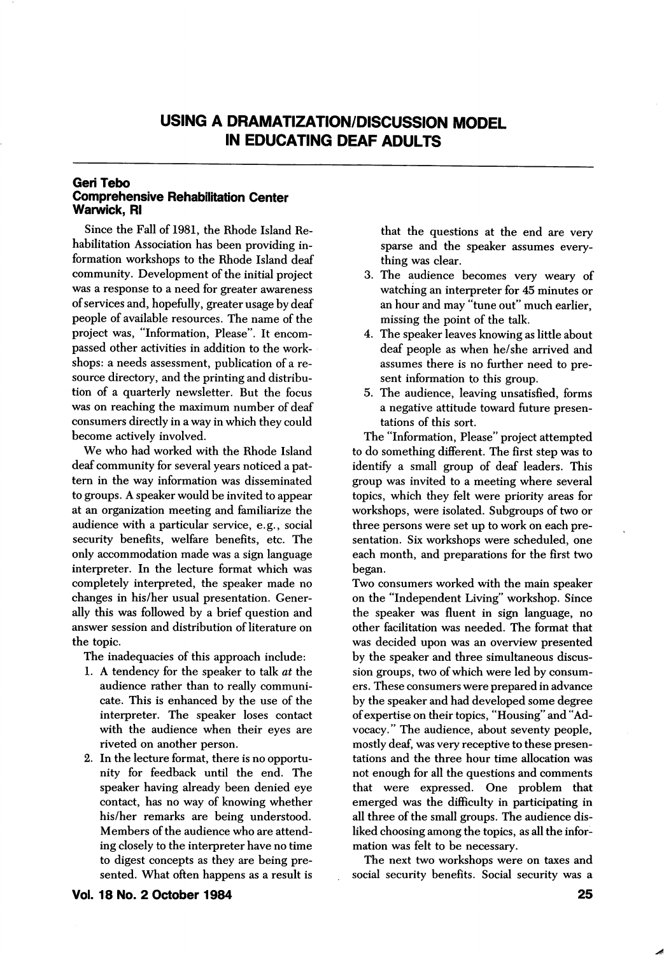## USING A DRAMATIZATION/DISCUSSION MODEL IN EDUCATING DEAF ADUI TS

## Geri Tebo Comprehensive Rehabilitation Center Warwick, Ri

Since the Fall of 1981, the Rhode Island Re habilitation Association has been providing in formation workshops to the Rhode Island deaf community. Development of the initial project was a response to a need for greater awareness of services and, hopefully, greater usage by deaf people of available resources. The name of the project was, "Information, Please". It encom passed other activities in addition to the work shops: a needs assessment, publication of a re source directory, and the printing and distribu tion of a quarterly newsletter. But the focus was on reaching the maximum number of deaf consumers directly in a way in which they could become actively involved.

We who had worked with the Rhode Island deaf community for several years noticed a pat tern in the way information was disseminated to groups. A speaker would be invited to appear at an organization meeting and familiarize the audience with a particular service, e.g., social security benefits, welfare benefits, etc. The only accommodation made was a sign language interpreter. In the lecture format which was completely interpreted, the speaker made no changes in his/her usual presentation. Gener ally this was followed by a brief question and answer session and distribution of literature on the topic.

The inadequacies of this approach include:

- 1. A tendency for the speaker to talk at the audience rather than to really communi cate. This is enhanced by the use of the interpreter. The speaker loses contact with the audience when their eyes are riveted on another person.
- 2. In the lecture format, there is no opportu nity for feedback until the end. The speaker having already been denied eye contact, has no way of knowing whether his/her remarks are being understood. Members of the audience who are attend ing closely to the interpreter have no time to digest concepts as they are being pre sented. What often happens as a result is

that the questions at the end are very sparse and the speaker assumes every thing was clear.

- 3. The audience becomes very weary of watching an interpreter for 45 minutes or an hour and may "tune out" much earlier, missing the point of the talk.
- 4. The speaker leaves knowing as little about deaf people as when he/she arrived and assumes there is no further need to pre sent information to this group.
- 5. The audience, leaving unsatisfied, forms a negative attitude toward future presen tations of this sort.

The "Information, Please" project attempted to do something different. The first step was to identify a small group of deaf leaders. This group was invited to a meeting where several topics, which they felt were priority areas for workshops, were isolated. Subgroups of two or three persons were set up to work on each pre sentation. Six workshops were scheduled, one each month, and preparations for the first two began.

Two consumers worked with the main speaker on the "Independent Living" workshop. Since the speaker was fluent in sign language, no other facilitation was needed. The format that was decided upon was an overview presented by the speaker and three simultaneous discus sion groups, two of which were led by consum ers. These consumers were prepared in advance by the speaker and had developed some degree of expertise on their topics, "Housing" and "Ad vocacy." The audience, about seventy people, mostly deaf, was very receptive to these presen tations and the three hour time allocation was not enough for all the questions and comments that were expressed. One problem that emerged was the difficulty in participating in all three of the small groups. The audience dis liked choosing among the topics, as all the infor mation was felt to be necessary.

The next two workshops were on taxes and social security benefits. Social security was a